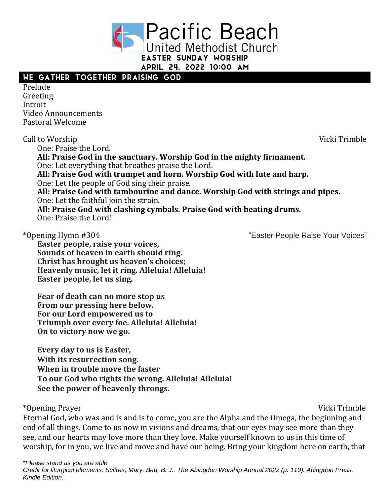

# WE GATHER TOGETHER PRAISING GOD

Prelude Greeting Introit Video Announcements Pastoral Welcome

Call to Worship Vicki Trimble One: Praise the Lord. **All: Praise God in the sanctuary. Worship God in the mighty firmament.**  One: Let everything that breathes praise the Lord. **All: Praise God with trumpet and horn. Worship God with lute and harp.**  One: Let the people of God sing their praise. **All: Praise God with tambourine and dance. Worship God with strings and pipes.**  One: Let the faithful join the strain. **All: Praise God with clashing cymbals. Praise God with beating drums.**  One: Praise the Lord!

\*Opening Hymn #304 "Easter People Raise Your Voices"

**Easter people, raise your voices, Sounds of heaven in earth should ring. Christ has brought us heaven's choices; Heavenly music, let it ring. Alleluia! Alleluia! Easter people, let us sing.**

**Fear of death can no more stop us From our pressing here below. For our Lord empowered us to Triumph over every foe. Alleluia! Alleluia! On to victory now we go.**

**Every day to us is Easter, With its resurrection song. When in trouble move the faster To our God who rights the wrong. Alleluia! Alleluia! See the power of heavenly throngs.**

\*Opening Prayer Vicki Trimble

Eternal God, who was and is and is to come, you are the Alpha and the Omega, the beginning and end of all things. Come to us now in visions and dreams, that our eyes may see more than they see, and our hearts may love more than they love. Make yourself known to us in this time of worship, for in you, we live and move and have our being. Bring your kingdom here on earth, that

*\*Please stand as you are able*

*Credit for liturgical elements: Scifres, Mary; Beu, B. J.. The Abingdon Worship Annual 2022 (p. 110). Abingdon Press. Kindle Edition.*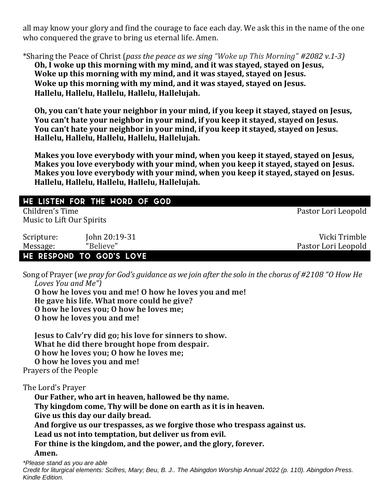all may know your glory and find the courage to face each day. We ask this in the name of the one who conquered the grave to bring us eternal life. Amen.

\*Sharing the Peace of Christ (*pass the peace as we sing "Woke up This Morning" #2082 v.1-3)*

**Oh, I woke up this morning with my mind, and it was stayed, stayed on Jesus, Woke up this morning with my mind, and it was stayed, stayed on Jesus. Woke up this morning with my mind, and it was stayed, stayed on Jesus. Hallelu, Hallelu, Hallelu, Hallelu, Hallelujah.**

**Oh, you can't hate your neighbor in your mind, if you keep it stayed, stayed on Jesus, You can't hate your neighbor in your mind, if you keep it stayed, stayed on Jesus. You can't hate your neighbor in your mind, if you keep it stayed, stayed on Jesus. Hallelu, Hallelu, Hallelu, Hallelu, Hallelujah.**

**Makes you love everybody with your mind, when you keep it stayed, stayed on Jesus, Makes you love everybody with your mind, when you keep it stayed, stayed on Jesus. Makes you love everybody with your mind, when you keep it stayed, stayed on Jesus. Hallelu, Hallelu, Hallelu, Hallelu, Hallelujah.**

# WE LISTEN FOR THE WORD OF GOD

Children's Time Pastor Lori Leopold Music to Lift Our Spirits

| Scripture: | John 20:19-31                   | Vicki Trimble       |
|------------|---------------------------------|---------------------|
| Message:   | "Believe"                       | Pastor Lori Leopold |
|            | <b>WE RESPOND TO GOD'S LOVE</b> |                     |

Song of Prayer (*we pray for God's guidance as we join after the solo in the chorus of #2108 "O How He Loves You and Me")*

**O how he loves you and me! O how he loves you and me! He gave his life. What more could he give? O how he loves you; O how he loves me; O how he loves you and me!**

**Jesus to Calv'ry did go; his love for sinners to show. What he did there brought hope from despair. O how he loves you; O how he loves me; O how he loves you and me!** Prayers of the People

The Lord's Prayer

**Our Father, who art in heaven, hallowed be thy name. Thy kingdom come, Thy will be done on earth as it is in heaven. Give us this day our daily bread. And forgive us our trespasses, as we forgive those who trespass against us. Lead us not into temptation, but deliver us from evil. For thine is the kingdom, and the power, and the glory, forever. Amen.**

*\*Please stand as you are able*

*Credit for liturgical elements: Scifres, Mary; Beu, B. J.. The Abingdon Worship Annual 2022 (p. 110). Abingdon Press. Kindle Edition.*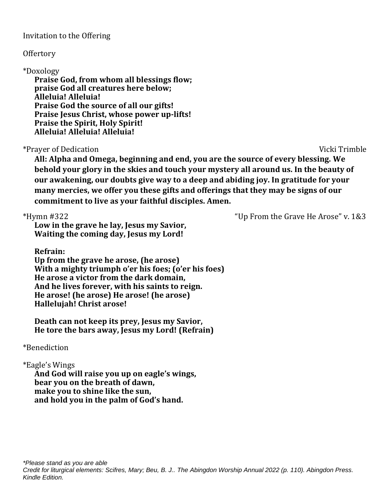## Invitation to the Offering

## **Offertory**

## \*Doxology

**Praise God, from whom all blessings flow; praise God all creatures here below; Alleluia! Alleluia! Praise God the source of all our gifts! Praise Jesus Christ, whose power up-lifts! Praise the Spirit, Holy Spirit! Alleluia! Alleluia! Alleluia!**

# \*Prayer of Dedication Vicki Trimble

**All: Alpha and Omega, beginning and end, you are the source of every blessing. We behold your glory in the skies and touch your mystery all around us. In the beauty of our awakening, our doubts give way to a deep and abiding joy. In gratitude for your many mercies, we offer you these gifts and offerings that they may be signs of our commitment to live as your faithful disciples. Amen.**

\*Hymn #322 "Up From the Grave He Arose" v. 1&3

**Low in the grave he lay, Jesus my Savior, Waiting the coming day, Jesus my Lord!**

**Refrain:**

**Up from the grave he arose, (he arose) With a mighty triumph o'er his foes; (o'er his foes) He arose a victor from the dark domain, And he lives forever, with his saints to reign. He arose! (he arose) He arose! (he arose) Hallelujah! Christ arose!**

**Death can not keep its prey, Jesus my Savior, He tore the bars away, Jesus my Lord! (Refrain)**

# \*Benediction

# \*Eagle's Wings

**And God will raise you up on eagle's wings, bear you on the breath of dawn, make you to shine like the sun, and hold you in the palm of God's hand.**